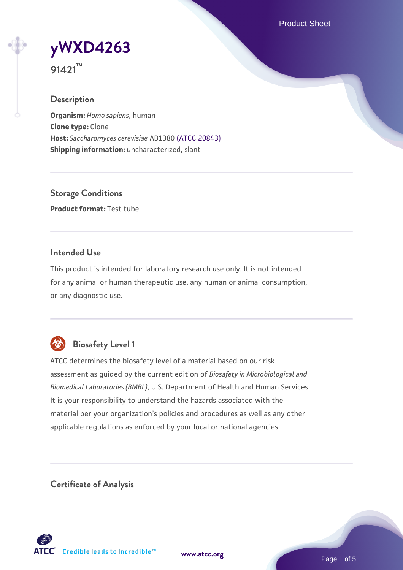Product Sheet

**[yWXD4263](https://www.atcc.org/products/91421)**

**91421™**

## **Description**

**Organism:** *Homo sapiens*, human **Clone type:** Clone **Host:** *Saccharomyces cerevisiae* AB1380 [\(ATCC 20843\)](https://www.atcc.org/products/20843) **Shipping information:** uncharacterized, slant

**Storage Conditions Product format:** Test tube

### **Intended Use**

This product is intended for laboratory research use only. It is not intended for any animal or human therapeutic use, any human or animal consumption, or any diagnostic use.



# **Biosafety Level 1**

ATCC determines the biosafety level of a material based on our risk assessment as guided by the current edition of *Biosafety in Microbiological and Biomedical Laboratories (BMBL)*, U.S. Department of Health and Human Services. It is your responsibility to understand the hazards associated with the material per your organization's policies and procedures as well as any other applicable regulations as enforced by your local or national agencies.

**Certificate of Analysis**

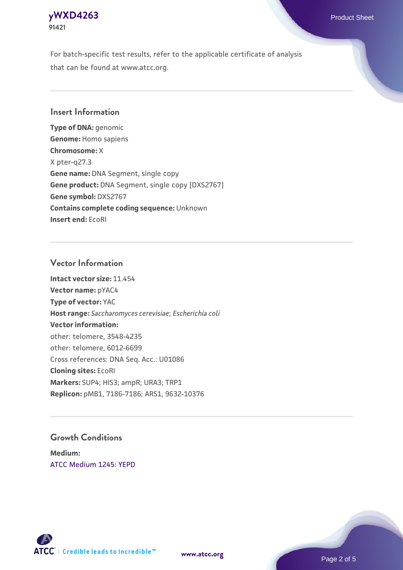# **[yWXD4263](https://www.atcc.org/products/91421)** Product Sheet **91421**

For batch-specific test results, refer to the applicable certificate of analysis that can be found at www.atcc.org.

### **Insert Information**

**Type of DNA:** genomic **Genome:** Homo sapiens **Chromosome:** X X pter-q27.3 **Gene name:** DNA Segment, single copy **Gene product:** DNA Segment, single copy [DXS2767] **Gene symbol:** DXS2767 **Contains complete coding sequence:** Unknown **Insert end:** EcoRI

### **Vector Information**

**Intact vector size:** 11.454 **Vector name:** pYAC4 **Type of vector:** YAC **Host range:** *Saccharomyces cerevisiae*; *Escherichia coli* **Vector information:** other: telomere, 3548-4235 other: telomere, 6012-6699 Cross references: DNA Seq. Acc.: U01086 **Cloning sites:** EcoRI **Markers:** SUP4; HIS3; ampR; URA3; TRP1 **Replicon:** pMB1, 7186-7186; ARS1, 9632-10376

### **Growth Conditions**

**Medium:**  [ATCC Medium 1245: YEPD](https://www.atcc.org/-/media/product-assets/documents/microbial-media-formulations/1/2/4/5/atcc-medium-1245.pdf?rev=705ca55d1b6f490a808a965d5c072196)



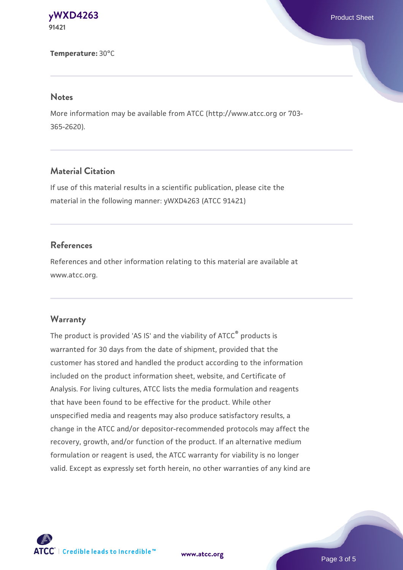#### **[yWXD4263](https://www.atcc.org/products/91421)** Product Sheet **91421**

#### **Temperature:** 30°C

#### **Notes**

More information may be available from ATCC (http://www.atcc.org or 703- 365-2620).

## **Material Citation**

If use of this material results in a scientific publication, please cite the material in the following manner: yWXD4263 (ATCC 91421)

### **References**

References and other information relating to this material are available at www.atcc.org.

### **Warranty**

The product is provided 'AS IS' and the viability of ATCC® products is warranted for 30 days from the date of shipment, provided that the customer has stored and handled the product according to the information included on the product information sheet, website, and Certificate of Analysis. For living cultures, ATCC lists the media formulation and reagents that have been found to be effective for the product. While other unspecified media and reagents may also produce satisfactory results, a change in the ATCC and/or depositor-recommended protocols may affect the recovery, growth, and/or function of the product. If an alternative medium formulation or reagent is used, the ATCC warranty for viability is no longer valid. Except as expressly set forth herein, no other warranties of any kind are



**[www.atcc.org](http://www.atcc.org)**

Page 3 of 5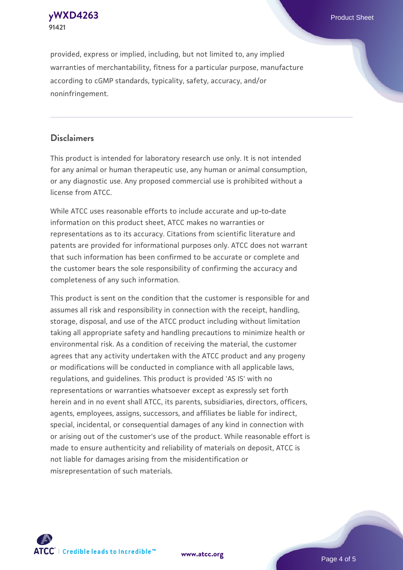

provided, express or implied, including, but not limited to, any implied warranties of merchantability, fitness for a particular purpose, manufacture according to cGMP standards, typicality, safety, accuracy, and/or noninfringement.

## **Disclaimers**

This product is intended for laboratory research use only. It is not intended for any animal or human therapeutic use, any human or animal consumption, or any diagnostic use. Any proposed commercial use is prohibited without a license from ATCC.

While ATCC uses reasonable efforts to include accurate and up-to-date information on this product sheet, ATCC makes no warranties or representations as to its accuracy. Citations from scientific literature and patents are provided for informational purposes only. ATCC does not warrant that such information has been confirmed to be accurate or complete and the customer bears the sole responsibility of confirming the accuracy and completeness of any such information.

This product is sent on the condition that the customer is responsible for and assumes all risk and responsibility in connection with the receipt, handling, storage, disposal, and use of the ATCC product including without limitation taking all appropriate safety and handling precautions to minimize health or environmental risk. As a condition of receiving the material, the customer agrees that any activity undertaken with the ATCC product and any progeny or modifications will be conducted in compliance with all applicable laws, regulations, and guidelines. This product is provided 'AS IS' with no representations or warranties whatsoever except as expressly set forth herein and in no event shall ATCC, its parents, subsidiaries, directors, officers, agents, employees, assigns, successors, and affiliates be liable for indirect, special, incidental, or consequential damages of any kind in connection with or arising out of the customer's use of the product. While reasonable effort is made to ensure authenticity and reliability of materials on deposit, ATCC is not liable for damages arising from the misidentification or misrepresentation of such materials.



**[www.atcc.org](http://www.atcc.org)**

Page 4 of 5